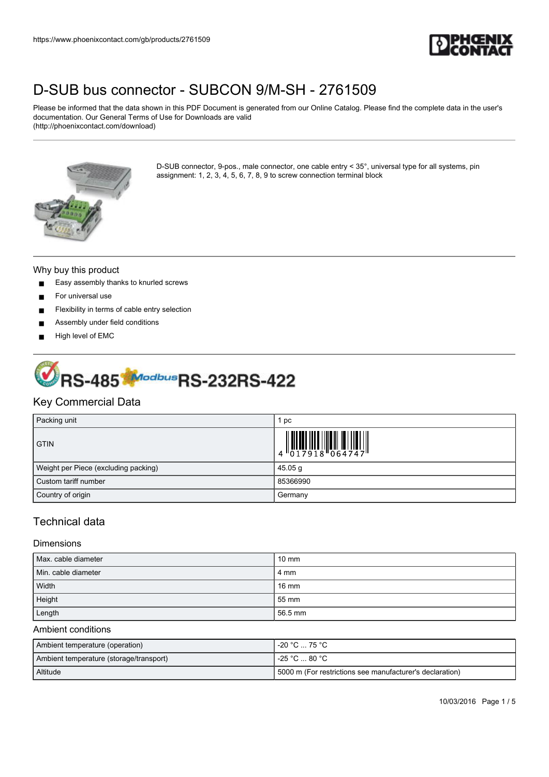

Please be informed that the data shown in this PDF Document is generated from our Online Catalog. Please find the complete data in the user's documentation. Our General Terms of Use for Downloads are valid (http://phoenixcontact.com/download)



D-SUB connector, 9-pos., male connector, one cable entry < 35°, universal type for all systems, pin assignment: 1, 2, 3, 4, 5, 6, 7, 8, 9 to screw connection terminal block

#### Why buy this product

- Easy assembly thanks to knurled screws
- For universal use
- Flexibility in terms of cable entry selection
- Assembly under field conditions
- High level of EMC



## Key Commercial Data

| Packing unit                         | pc                                                                                                                                                                                                                                                                                                                             |
|--------------------------------------|--------------------------------------------------------------------------------------------------------------------------------------------------------------------------------------------------------------------------------------------------------------------------------------------------------------------------------|
| <b>GTIN</b>                          | $\begin{array}{c} 1 & 0 & 0 & 0 \\ 0 & 1 & 0 & 1 \\ 0 & 1 & 0 & 1 \\ 0 & 0 & 0 & 0 \\ 0 & 0 & 0 & 0 \\ 0 & 0 & 0 & 0 \\ 0 & 0 & 0 & 0 \\ 0 & 0 & 0 & 0 \\ 0 & 0 & 0 & 0 \\ 0 & 0 & 0 & 0 \\ 0 & 0 & 0 & 0 \\ 0 & 0 & 0 & 0 & 0 \\ 0 & 0 & 0 & 0 & 0 \\ 0 & 0 & 0 & 0 & 0 \\ 0 & 0 & 0 & 0 & 0 & 0 \\ 0 & 0 & 0 & 0 & 0 & 0 \\$ |
| Weight per Piece (excluding packing) | 45.05 g                                                                                                                                                                                                                                                                                                                        |
| Custom tariff number                 | 85366990                                                                                                                                                                                                                                                                                                                       |
| Country of origin                    | Germany                                                                                                                                                                                                                                                                                                                        |

## Technical data

#### Dimensions

| Max. cable diameter | $10 \text{ mm}$ |
|---------------------|-----------------|
| Min. cable diameter | 4 mm            |
| Width               | $16 \text{ mm}$ |
| Height              | 55 mm           |
| Length              | 56.5 mm         |

#### Ambient conditions

| Ambient temperature (operation)         | -20 °C … 75 °C .                                         |
|-----------------------------------------|----------------------------------------------------------|
| Ambient temperature (storage/transport) | -25 °C … 80 °C .                                         |
| <b>Altitude</b>                         | 5000 m (For restrictions see manufacturer's declaration) |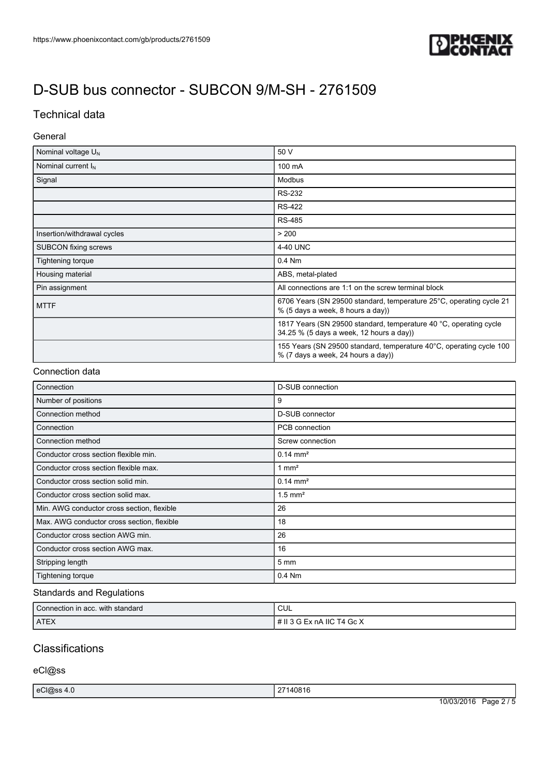

# Technical data

### General

| Nominal voltage $U_N$       | 50 V                                                                                                          |
|-----------------------------|---------------------------------------------------------------------------------------------------------------|
| Nominal current $I_N$       | 100 mA                                                                                                        |
| Signal                      | Modbus                                                                                                        |
|                             | <b>RS-232</b>                                                                                                 |
|                             | <b>RS-422</b>                                                                                                 |
|                             | <b>RS-485</b>                                                                                                 |
| Insertion/withdrawal cycles | > 200                                                                                                         |
| <b>SUBCON</b> fixing screws | 4-40 UNC                                                                                                      |
| Tightening torque           | 0.4 Nm                                                                                                        |
| Housing material            | ABS, metal-plated                                                                                             |
| Pin assignment              | All connections are 1:1 on the screw terminal block                                                           |
| <b>MTTF</b>                 | 6706 Years (SN 29500 standard, temperature 25°C, operating cycle 21<br>% (5 days a week, 8 hours a day))      |
|                             | 1817 Years (SN 29500 standard, temperature 40 °C, operating cycle<br>34.25 % (5 days a week, 12 hours a day)) |
|                             | 155 Years (SN 29500 standard, temperature 40°C, operating cycle 100<br>% (7 days a week, 24 hours a day))     |

### Connection data

| Connection                                 | <b>D-SUB</b> connection |
|--------------------------------------------|-------------------------|
| Number of positions                        | 9                       |
| Connection method                          | <b>D-SUB</b> connector  |
| Connection                                 | PCB connection          |
| Connection method                          | Screw connection        |
| Conductor cross section flexible min.      | $0.14 \text{ mm}^2$     |
| Conductor cross section flexible max.      | 1 $mm2$                 |
| Conductor cross section solid min.         | $0.14 \text{ mm}^2$     |
| Conductor cross section solid max.         | $1.5$ mm <sup>2</sup>   |
| Min. AWG conductor cross section, flexible | 26                      |
| Max. AWG conductor cross section, flexible | 18                      |
| Conductor cross section AWG min.           | 26                      |
| Conductor cross section AWG max.           | 16                      |
| Stripping length                           | $5 \, \text{mm}$        |
| Tightening torque                          | 0.4 Nm                  |

### Standards and Regulations

| Connection in acc. with standard | CUL                          |
|----------------------------------|------------------------------|
| <b>ATEX</b>                      | I # II 3 G Ex nA IIC T4 Gc X |

# **Classifications**

eCl@ss

| ലിമട | $\sim$<br>0816<br>به ا                                |                            |
|------|-------------------------------------------------------|----------------------------|
|      | 101001001<br>$\overline{\phantom{0}}$<br>' ( )/(<br>. | $\sim$<br>age <sup>,</sup> |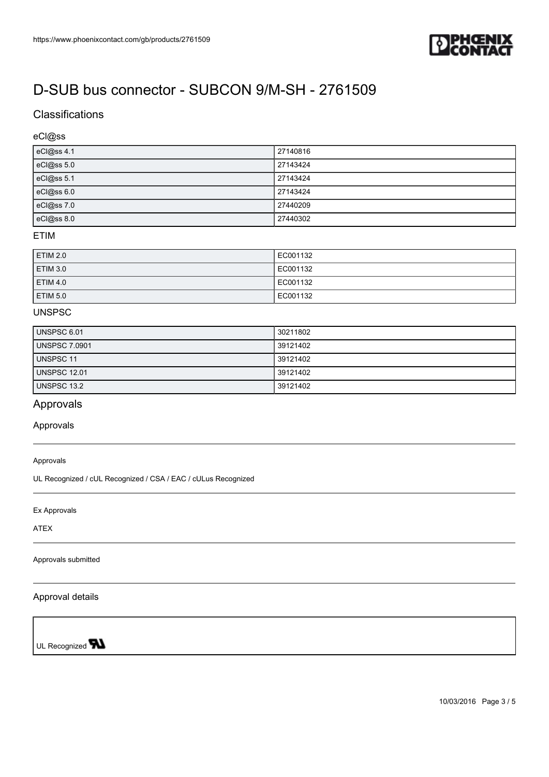

## **Classifications**

### eCl@ss

| eCl@ss 4.1 | 27140816 |
|------------|----------|
| eCl@ss 5.0 | 27143424 |
| eCl@ss 5.1 | 27143424 |
| eCl@ss 6.0 | 27143424 |
| eCl@ss 7.0 | 27440209 |
| eCl@ss 8.0 | 27440302 |

#### ETIM

| <b>ETIM 2.0</b> | EC001132 |
|-----------------|----------|
| <b>ETIM 3.0</b> | EC001132 |
| <b>ETIM 4.0</b> | EC001132 |
| <b>ETIM 5.0</b> | EC001132 |

### UNSPSC

| UNSPSC 6.01          | 30211802 |
|----------------------|----------|
| <b>UNSPSC 7.0901</b> | 39121402 |
| UNSPSC 11            | 39121402 |
| UNSPSC 12.01         | 39121402 |
| UNSPSC 13.2          | 39121402 |

## Approvals

Approvals

#### Approvals

UL Recognized / cUL Recognized / CSA / EAC / cULus Recognized

Ex Approvals

ATEX

Approvals submitted

#### Approval details

UL Recognized **W**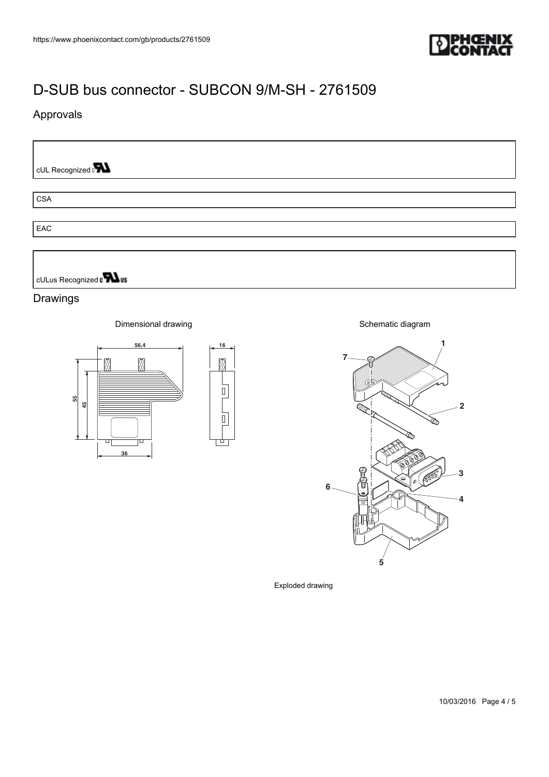

▧

 $\begin{array}{c} \hline \end{array}$ 

 $\overline{0}$ 

╈

# Approvals

cUL Recognized of

CSA

**EAC** 

cULus Recognized and us

### Drawings

Dimensional drawing



Schematic diagram



Exploded drawing